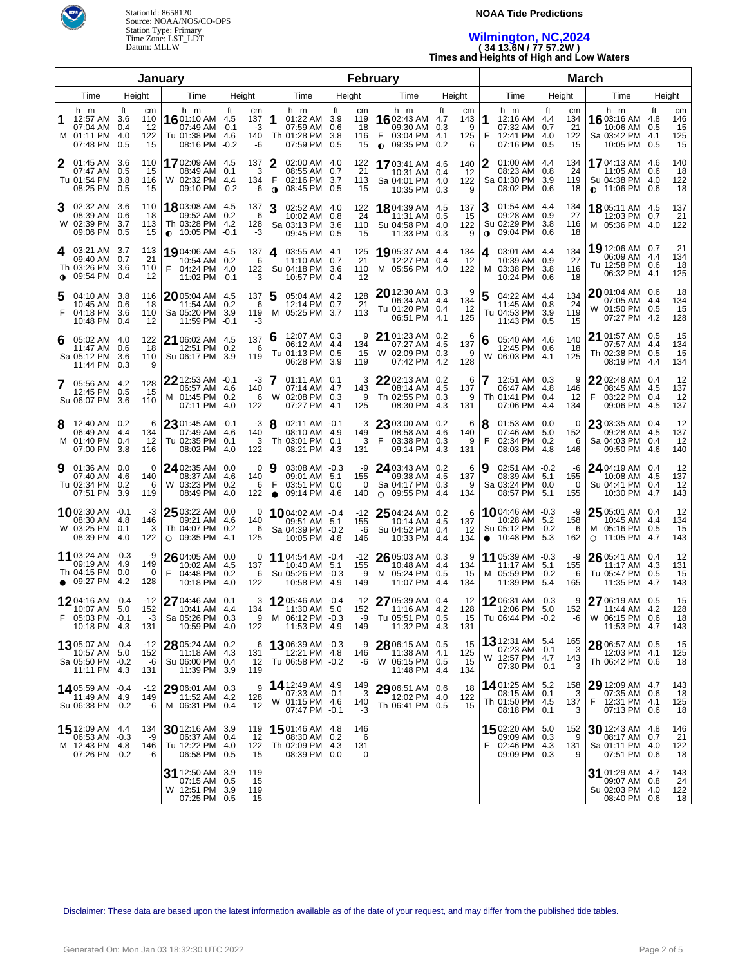

### **NOAA Tide Predictions**

## **Wilmington, NC,2024 ( 34 13.6N / 77 57.2W )**

**Times and Heights of High and Low Waters**

| January        |                                                                               |                        |                   |                                                                               |              |                              |                       | February                                                                   |     | <b>March</b>                 |                                                                                    |                         |                            |             |                                                                               |    |                              |                                                                                     |                  |                              |
|----------------|-------------------------------------------------------------------------------|------------------------|-------------------|-------------------------------------------------------------------------------|--------------|------------------------------|-----------------------|----------------------------------------------------------------------------|-----|------------------------------|------------------------------------------------------------------------------------|-------------------------|----------------------------|-------------|-------------------------------------------------------------------------------|----|------------------------------|-------------------------------------------------------------------------------------|------------------|------------------------------|
|                | Time                                                                          | Height                 |                   | Time                                                                          |              | Height                       |                       | Time                                                                       |     | Height                       | Time                                                                               | Height                  |                            |             | Time                                                                          |    | Height                       | Time                                                                                |                  | Height                       |
| 1<br>м         | h m<br>12:57 AM 3.6<br>07:04 AM 0.4<br>01:11 PM 4.0<br>07:48 PM 0.5           | ft<br>cm<br>110<br>122 | 12<br>15          | h m<br><b>16</b> 01:10 AM 4.5<br>07:49 AM -0.1<br>Tu 01:38 PM 4.6<br>08:16 PM | ft<br>$-0.2$ | cm<br>137<br>-3<br>140<br>-6 | 1                     | h m<br>01:22 AM 3.9<br>07:59 AM 0.6<br>Th 01:28 PM 3.8<br>07:59 PM 0.5     | ft  | cm<br>119<br>18<br>116<br>15 | h m<br><b>16</b> 02:43 AM<br>09:30 AM<br>03:04 PM 4.1<br>F<br>$0.09:35 \text{ PM}$ | ft<br>4.7<br>0.3<br>0.2 | cm<br>143<br>9<br>125<br>6 | 1<br>F      | h m<br>12:16 AM 4.4<br>07:32 AM 0.7<br>12:41 PM 4.0<br>07:16 PM 0.5           | ft | cm<br>134<br>21<br>122<br>15 | h m<br>16 03:16 AM<br>10:06 AM<br>Sa 03:42 PM 4.1<br>10:05 PM 0.5                   | Ħ.<br>4.8<br>0.5 | cm<br>146<br>15<br>125<br>15 |
| 2              | 01:45 AM 3.6<br>07:47 AM 0.5<br>Tu 01:54 PM 3.8<br>08:25 PM 0.5               | 110<br>116             | 15<br>15          | 1702:09 AM 4.5<br>08:49 AM 0.1<br>W 02:32 PM 4.4<br>09:10 PM                  | $-0.2$       | 137<br>3<br>134<br>-6        | 2<br>F<br>$\mathbf o$ | 02:00 AM 4.0<br>08:55 AM 0.7<br>02:16 PM 3.7<br>08:45 PM 0.5               |     | 122<br>21<br>113<br>15       | 1703:41 AM 4.6<br>10:31 AM 0.4<br>Sa 04:01 PM 4.0<br>10:35 PM 0.3                  |                         | 140<br>12<br>122<br>9      | 2           | 01:00 AM 4.4<br>08:23 AM 0.8<br>Sa 01:30 PM 3.9<br>08:02 PM 0.6               |    | 134<br>24<br>119<br>18       | 1704:13 AM 4.6<br>11:05 AM 0.6<br>Su 04:38 PM 4.0<br>$\bullet$ 11:06 PM 0.6         |                  | 140<br>18<br>122<br>18       |
| 3              | 02:32 AM 3.6<br>08:39 AM 0.6<br>W 02:39 PM 3.7<br>09:06 PM 0.5                | 110<br>113             | 18<br>15          | 18 03:08 AM 4.5<br>09:52 AM 0.2<br>Th 03:28 PM 4.2<br>$\bullet$ 10:05 PM -0.1 |              | 137<br>$\,6\,$<br>128<br>-3  | 3                     | 02:52 AM 4.0<br>10:02 AM 0.8<br>Sa 03:13 PM 3.6<br>09:45 PM 0.5            |     | 122<br>24<br>110<br>15       | 18 04:39 AM 4.5<br>11:31 AM 0.5<br>Su 04:58 PM 4.0<br>11:33 PM 0.3                 |                         | 137<br>15<br>122<br>9      | $\mathbf 0$ | 01:54 AM 4.4<br>09:28 AM 0.9<br>Su 02:29 PM 3.8<br>09:04 PM 0.6               |    | 134<br>27<br>116<br>18       | <b>18</b> 05:11 AM 4.5<br>12:03 PM 0.7<br>M 05:36 PM 4.0                            |                  | 137<br>21<br>122             |
| 4<br>$\bullet$ | 03:21 AM 3.7<br>09:40 AM 0.7<br>Th 03:26 PM 3.6<br>09:54 PM 0.4               | 113<br>21<br>110       | 12                | 19 04:06 AM 4.5<br>10:54 AM 0.2<br>04:24 PM 4.0<br>F<br>11:02 PM -0.1         |              | 137<br>-6<br>122<br>-3       | 4                     | 03:55 AM 4.1<br>11:10 AM 0.7<br>Su 04:18 PM 3.6<br>10:57 PM 0.4            |     | 125<br>21<br>110<br>12       | 1905:37 AM 4.4<br>12:27 PM 0.4<br>M 05:56 PM 4.0                                   |                         | 134<br>12<br>122           | 4<br>M      | 03:01 AM 4.4<br>10:39 AM 0.9<br>03:38 PM 3.8<br>10:24 PM 0.6                  |    | 134<br>27<br>116<br>18       | 19 12:06 AM 0.7<br>06:09 AM 4.4<br>Tu 12:58 PM 0.6<br>06:32 PM 4.1                  |                  | 21<br>134<br>18<br>125       |
| 5<br>F         | 04:10 AM 3.8<br>10:45 AM 0.6<br>04:18 PM<br>10:48 PM 0.4                      | 116<br>-3.6<br>110     | 18<br>12          | $20$ 05:04 AM 4.5<br>11:54 AM 0.2<br>Sa 05:20 PM 3.9<br>11:59 PM -0.1         |              | 137<br>6<br>119<br>-3        | 5<br>м                | 05:04 AM 4.2<br>12:14 PM 0.7<br>05:25 PM 3.7                               |     | 128<br>21<br>113             | 20 12:30 AM 0.3<br>06:34 AM 4.4<br>Tu 01:20 PM 0.4<br>06:51 PM 4.1                 |                         | 9<br>134<br>12<br>125      | 5           | 04:22 AM 4.4<br>11:45 AM 0.8<br>Tu 04:53 PM 3.9<br>11:43 PM 0.5               |    | 134<br>24<br>119<br>15       | $20$ 01:04 AM = 0.6<br>07:05 AM 4.4<br>W 01:50 PM 0.5<br>07:27 PM 4.2               |                  | 18<br>134<br>15<br>128       |
| 6              | 05:02 AM 4.0<br>11:47 AM 0.6<br>Sa 05:12 PM<br>11:44 PM 0.3                   | 122<br>-3.6<br>110     | 18<br>9           | 21 06:02 AM 4.5<br>12:51 PM 0.2<br>Su 06:17 PM 3.9                            |              | 137<br>6<br>119              | 6                     | 12:07 AM 0.3<br>06:12 AM 4.4<br>Tu 01:13 PM 0.5<br>06:28 PM 3.9            |     | 9<br>134<br>15<br>119        | 21 01:23 AM 0.2<br>07:27 AM 4.5<br>W 02:09 PM 0.3<br>07:42 PM 4.2                  |                         | 6<br>137<br>9<br>128       | 6           | 05:40 AM 4.6<br>12:45 PM 0.6<br>W 06:03 PM 4.1                                |    | 140<br>18<br>125             | <b>21</b> 01:57 AM 0.5<br>07:57 AM 4.4<br>Th 02:38 PM 0.5<br>08:19 PM 4.4           |                  | 15<br>134<br>15<br>134       |
|                | 05:56 AM 4.2<br>12:45 PM 0.5<br>Su 06:07 PM 3.6                               | 128<br>110             | 15                | 22 12:53 AM -0.1<br>06:57 AM 4.6<br>M 01:45 PM 0.2<br>07:11 PM 4.0            |              | -3<br>140<br>6<br>122        |                       | 01:11 AM 0.1<br>07:14 AM 4.7<br>W 02:08 PM 0.3<br>07:27 PM 4.1             |     | 3<br>143<br>9<br>125         | $2202:13$ AM 0.2<br>08:14 AM 4.5<br>Th 02:55 PM 0.3<br>08:30 PM 4.3                |                         | 6<br>137<br>9<br>131       |             | 12:51 AM 0.3<br>06:47 AM 4.8<br>Th 01:41 PM 0.4<br>07:06 PM 4.4               |    | 9<br>146<br>12<br>134        | $2202:48$ AM 0.4<br>08:45 AM 4.5<br>F<br>03:22 PM 0.4<br>09:06 PM 4.5               |                  | 12<br>137<br>12<br>137       |
| 8<br>M         | 12:40 AM 0.2<br>06:49 AM 4.4<br>01:40 PM 0.4<br>07:00 PM 3.8                  | 134<br>116             | 6<br>12           | $23$ 01:45 AM -0.1<br>07:49 AM 4.6<br>Tu 02:35 PM<br>08:02 PM 4.0             | 0.1          | -3<br>140<br>3<br>122        | 8                     | $02:11$ AM $-0.1$<br>08:10 AM 4.9<br>Th 03:01 PM 0.1<br>08:21 PM 4.3       |     | -3<br>149<br>3<br>131        | 23 03:00 AM 0.2<br>08:58 AM 4.6<br>F<br>03:38 PM 0.3<br>09:14 PM 4.3               |                         | 6<br>140<br>9<br>131       | F           | 01:53 AM 0.0<br>07:46 AM 5.0<br>02:34 PM 0.2<br>08:03 PM 4.8                  |    | 0<br>152<br>6<br>146         | 23 03:35 AM 0.4<br>09:28 AM 4.5<br>Sa 04:03 PM 0.4<br>09:50 PM 4.6                  |                  | 12<br>137<br>12<br>140       |
| 9              | 01:36 AM 0.0<br>07:40 AM 4.6<br>Tu 02:34 PM 0.2<br>07:51 PM 3.9               | 140<br>119             | 0<br>6            | $24$ 02:35 AM 0.0<br>08:37 AM 4.6<br>W 03:23 PM<br>08:49 PM 4.0               | 0.2          | $\Omega$<br>140<br>6<br>122  | 9<br>F<br>$\bullet$   | 03:08 AM -0.3<br>09:01 AM 5.1<br>03:51 PM 0.0<br>09:14 PM 4.6              |     | -9<br>155<br>0<br>140        | 24 03:43 AM 0.2<br>09:38 AM 4.5<br>Sa 04:17 PM 0.3<br>$O$ 09:55 PM 4.4             |                         | 6<br>137<br>9<br>134       | 9           | 02:51 AM -0.2<br>08:39 AM 5.1<br>Sa 03:24 PM 0.0<br>08:57 PM 5.1              |    | -6<br>155<br>0<br>155        | 24 04:19 AM 0.4<br>10:08 AM 4.5<br>Su 04:41 PM 0.4<br>10:30 PM 4.7                  |                  | 12<br>137<br>12<br>143       |
|                | 1002:30 AM -0.1<br>08:30 AM 4.8<br>W 03:25 PM 0.1<br>08:39 PM 4.0             | 146<br>122             | -3<br>3           | $2503:22$ AM 0.0<br>09:21 AM 4.6<br>Th 04:07 PM<br>$O$ 09:35 PM 4.1           | 0.2          | $\Omega$<br>140<br>6<br>125  |                       | 1004:02 AM -0.4<br>09:51 AM 5.1<br>Sa 04:39 PM -0.2<br>10:05 PM 4.8        |     | $-12$<br>155<br>-6<br>146    | $25$ 04:24 AM 0.2<br>10:14 AM 4.5<br>Su 04:52 PM 0.4<br>10:33 PM 4.4               |                         | 6<br>137<br>12<br>134      |             | 1004:46 AM -0.3<br>10:28 AM 5.2<br>Su 05:12 PM -0.2<br>$\bullet$ 10:48 PM 5.3 |    | -9<br>158<br>-6<br>162       | <b>25</b> 05:01 AM 0.4<br>10:45 AM 4.4<br>M 05:16 PM 0.5<br>11:05 PM 4.7<br>$\circ$ |                  | 12<br>134<br>15<br>143       |
|                | 11 03:24 AM -0.3<br>09:19 AM 4.9<br>Th 04:15 PM 0.0<br>$\bullet$ 09:27 PM 4.2 | 149<br>128             | -9<br>$\mathbf 0$ | 26 04:05 AM 0.0<br>10:02 AM<br>F<br>04:48 PM 0.2<br>10:18 PM                  | 4.5<br>4.0   | $\Omega$<br>137<br>6<br>122  |                       | 11 04:54 AM -0.4<br>10:40 AM 5.1<br>Su 05:26 PM -0.3<br>10:58 PM           | 4.9 | $-12$<br>155<br>-9<br>149    | 26 05:03 AM 0.3<br>10:48 AM 4.4<br>M 05:24 PM 0.5<br>11:07 PM                      | 4.4                     | 9<br>134<br>15<br>134      |             | 11 05:39 AM -0.3<br>11:17 AM 5.1<br>M 05:59 PM -0.2<br>11:39 PM 5.4           |    | -9<br>155<br>-6<br>165       | 26 05:41 AM 0.4<br>11:17 AM<br>Tu 05:47 PM 0.5<br>11:35 PM 4.7                      | 4.3              | 12<br>131<br>15<br>143       |
| F              | 1204:16 AM -0.4<br>10:07 AM 5.0<br>05:03 PM -0.1<br>10:18 PM 4.3              | $-12$<br>152<br>131    | $-3$              | 27 04:46 AM 0.1<br>10:41 AM 4.4<br>Sa 05:26 PM 0.3<br>10:59 PM 4.0            |              | 3<br>134<br>9<br>122         |                       | 1205:46 AM -0.4<br>11:30 AM 5.0<br>M 06:12 PM -0.3<br>11:53 PM 4.9         |     | $-12$<br>152<br>-9<br>149    | 27 05:39 AM 0.4<br>11:16 AM 4.2<br>Tu 05:51 PM 0.5<br>11:32 PM 4.3                 |                         | 12<br>128<br>15<br>131     |             | 1206:31 AM -0.3<br>12:06 PM 5.0<br>Tu 06:44 PM -0.2                           |    | -9<br>152<br>-6              | 27 06:19 AM 0.5<br>11:44 AM 4.2<br>W 06:15 PM 0.6<br>11:53 PM 4.7                   |                  | 15<br>128<br>18<br>143       |
|                | 1305:07 AM -0.4<br>10:57 AM 5.0<br>Sa 05:50 PM -0.2<br>11:11 PM 4.3           | -12<br>152<br>131      | -6                | 28 05:24 AM 0.2<br>11:18 AM 4.3<br>Su 06:00 PM 0.4<br>11:39 PM 3.9            |              | 6<br>131<br>12<br>119        |                       | 1306:39 AM -0.3<br>12:21 PM 4.8<br>Tu 06:58 PM -0.2                        |     | -9<br>146<br>-6              | 28 06:15 AM 0.5<br>11:38 AM 4.1<br>W 06:15 PM 0.5<br>11:48 PM 4.4                  |                         | 15<br>125<br>15<br>134     |             | <b>13</b> 12:31 AM $5.4$<br>07:23 AM -0.1<br>W 12:57 PM 4.7<br>07:30 PM -0.1  |    | 165<br>-3<br>143<br>-3       | 28 06:57 AM 0.5<br>12:03 PM 4.1<br>Th 06:42 PM 0.6                                  |                  | 15<br>125<br>18              |
|                | 1405:59 AM -0.4<br>11:49 AM 4.9<br>Su 06:38 PM -0.2                           | -12<br>149             | -6 1              | 29 06:01 AM 0.3<br>11:52 AM 4.2<br>M 06:31 PM 0.4                             |              | 9<br>128<br>12               |                       | <b>14</b> 12:49 AM 4.9<br>07:33 AM -0.1<br>W 01:15 PM 4.6<br>07:47 PM -0.1 |     | 149<br>$-3$<br>140<br>-3     | 29 06:51 AM 0.6<br>12:02 PM 4.0<br>Th 06:41 PM 0.5                                 |                         | 18<br>122<br>15            |             | 1401:25 AM 5.2<br>08:15 AM 0.1<br>Th 01:50 PM 4.5<br>08:18 PM 0.1             |    | 158<br>3<br>137<br>3         | 29 12:09 AM 4.7<br>07:35 AM 0.6<br>F 12:31 PM 4.1<br>07:13 PM 0.6                   |                  | 143<br>18<br>125<br>18       |
|                | 15 12:09 AM 4.4<br>06:53 AM -0.3<br>M 12:43 PM 4.8<br>07:26 PM -0.2           | 134<br>146             | -9<br>-6          | 30 12:16 AM 3.9<br>06:37 AM 0.4<br>Tu 12:22 PM 4.0<br>06:58 PM 0.5            |              | 119<br>-12<br>122<br>15      |                       | 1501:46 AM 4.8<br>08:30 AM 0.2<br>Th 02:09 PM 4.3<br>08:39 PM 0.0          |     | 146<br>6<br>131<br>0         |                                                                                    |                         |                            |             | 1502:20 AM 5.0<br>09:09 AM 0.3<br>02:46 PM 4.3<br>09:09 PM 0.3                |    | 152<br>9<br>131<br>9         | 30 12:43 AM 4.8<br>08:17 AM 0.7<br>Sa 01:11 PM 4.0<br>07:51 PM 0.6                  |                  | 146<br>21<br>122<br>18       |
|                |                                                                               |                        |                   | 31 12:50 AM 3.9<br>07:15 AM 0.5<br>W 12:51 PM 3.9<br>07:25 PM 0.5             |              | 119<br>15<br>119<br>15       |                       |                                                                            |     |                              |                                                                                    |                         |                            |             |                                                                               |    |                              | 31 01:29 AM 4.7<br>09:07 AM 0.8<br>Su 02:03 PM 4.0<br>08:40 PM 0.6                  |                  | 143<br>24<br>122<br>18       |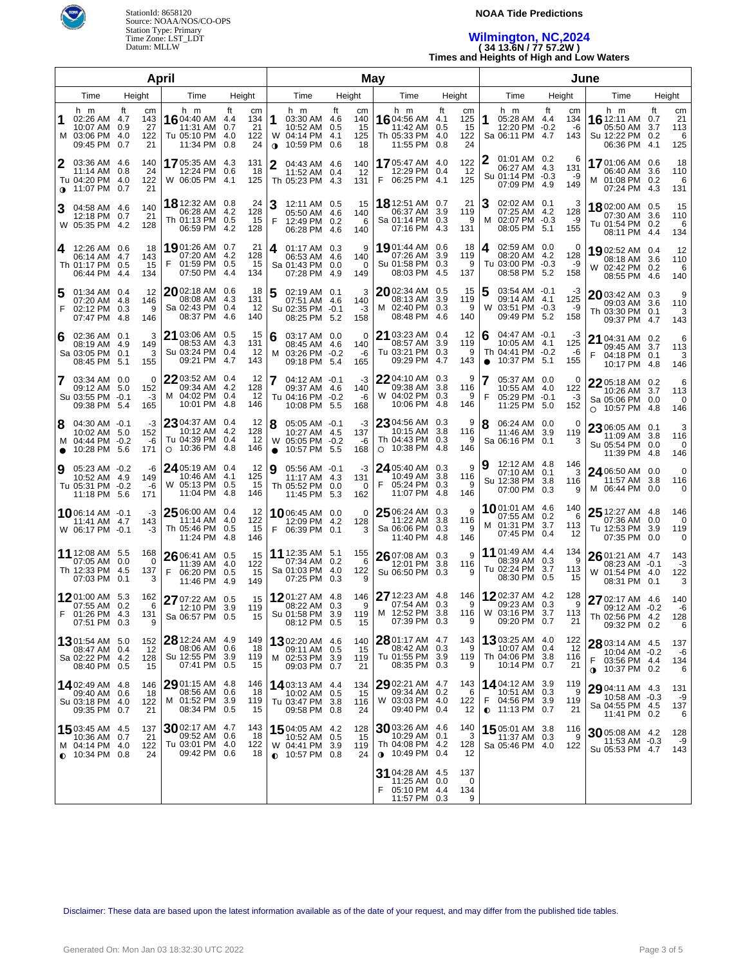

#### **NOAA Tide Predictions**

### **Wilmington, NC,2024 ( 34 13.6N / 77 57.2W ) Times and Heights of High and Low Waters**

| April            |                                                                             |                                                   |                                                                                |                                                                |                       |                                                                              |                                           | May                                                                          |                                                                | June                                                                                |                               |                                                                                 |                                                               |  |
|------------------|-----------------------------------------------------------------------------|---------------------------------------------------|--------------------------------------------------------------------------------|----------------------------------------------------------------|-----------------------|------------------------------------------------------------------------------|-------------------------------------------|------------------------------------------------------------------------------|----------------------------------------------------------------|-------------------------------------------------------------------------------------|-------------------------------|---------------------------------------------------------------------------------|---------------------------------------------------------------|--|
|                  | Time                                                                        | Height                                            | Time                                                                           | Height                                                         |                       | Time                                                                         | Height                                    | Time                                                                         | Height                                                         | Time                                                                                | Height                        | Time                                                                            | Height                                                        |  |
| 1                | h m<br>02:26 AM 4.7<br>10:07 AM 0.9<br>M 03:06 PM<br>09:45 PM               | ft<br>cm<br>143<br>27<br>122<br>-4.0<br>0.7<br>21 | h m<br>16 04:40 AM<br>11:31 AM<br>Tu 05:10 PM<br>11:34 PM                      | ft<br>cm<br>134<br>4.4<br>21<br>0.7<br>122<br>4.0<br>24<br>0.8 | 1<br>w<br>$\mathbf 0$ | h m<br>03:30 AM 4.6<br>10:52 AM<br>04:14 PM 4.1<br>10:59 PM 0.6              | ft<br>cm<br>140<br>15<br>0.5<br>125<br>18 | h m<br>16 04:56 AM<br>11:42 AM<br>Th 05:33 PM<br>11:55 PM                    | ft<br>сm<br>125<br>4.1<br>15<br>0.5<br>122<br>4.0<br>24<br>0.8 | h m<br>05:28 AM 4.4<br>1<br>12:20 PM -0.2<br>Sa 06:11 PM 4.7                        | ft<br>cm<br>134<br>-6<br>143  | h m<br><b>16</b> 12:11 AM<br>05:50 AM<br>Su 12:22 PM<br>06:36 PM                | ft<br>cm<br>21<br>0.7<br>113<br>3.7<br>0.2<br>6<br>4.1<br>125 |  |
| 2<br>$\mathbf 0$ | 03:36 AM 4.6<br>11:14 AM 0.8<br>Tu 04:20 PM 4.0<br>11:07 PM 0.7             | 140<br>24<br>122<br>21                            | 1705:35 AM<br>12:24 PM<br>W 06:05 PM                                           | 4.3<br>131<br>-18<br>0.6<br>4.1<br>125                         | $\mathbf{2}$          | 04:43 AM 4.6<br>11:52 AM 0.4<br>Th 05:23 PM 4.3                              | 140<br>12<br>131                          | 1705:47 AM 4.0<br>12:29 PM 0.4<br>06:25 PM<br>F                              | 122<br>12<br>125<br>4.1                                        | 01:01 AM 0.2<br>06:27 AM 4.3<br>Su 01:14 PM -0.3<br>07:09 PM 4.9                    | 6<br>131<br>-9<br>149         | 1701:06 AM 0.6<br>06:40 AM<br>01:08 PM 0.2<br>м<br>07:24 PM                     | 18<br>3.6<br>110<br>6<br>4.3<br>131                           |  |
|                  | 04:58 AM 4.6<br>12:18 PM 0.7<br>W 05:35 PM 4.2                              | 140<br>21<br>128                                  | <b>18</b> 12:32 AM<br>06:28 AM<br>Th 01:13 PM<br>06:59 PM                      | 24<br>0.8<br>128<br>4.2<br>15<br>0.5<br>128<br>4.2             | 3<br>F                | 12:11 AM 0.5<br>05:50 AM 4.6<br>12:49 PM 0.2<br>06:28 PM 4.6                 | 15<br>140<br>6<br>140                     | <b>18</b> 12:51 AM 0.7<br>06:37 AM<br>Sa 01:14 PM<br>07:16 PM                | 21<br>3.9<br>119<br>0.3<br>9<br>-4.3<br>131                    | 02:02 AM 0.1<br>07:25 AM 4.2<br>02:07 PM -0.3<br>м<br>08:05 PM 5.1                  | 128<br>-9<br>155              | 1802:00 AM 0.5<br>07:30 AM<br>Tu 01:54 PM 0.2<br>08:11 PM                       | 15<br>110<br>3.6<br>6<br>-4.4<br>134                          |  |
| 4                | 12:26 AM 0.6<br>06:14 AM 4.7<br>Th 01:17 PM 0.5<br>06:44 PM 4.4             | 18<br>143<br>15<br>134                            | <b>19</b> 01:26 AM<br>07:20 AM<br>F<br>01:59 PM<br>07:50 PM                    | 21<br>0.7<br>128<br>4.2<br>15<br>0.5<br>134<br>4.4             | 4                     | $01:17$ AM $0.3$<br>06:53 AM 4.6<br>Sa 01:43 PM 0.0<br>07:28 PM 4.9          | 9<br>140<br>$\Omega$<br>149               | 19 01:44 AM 0.6<br>07:26 AM<br>Su 01:58 PM<br>08:03 PM 4.5                   | 18<br>119<br>3.9<br>0.3<br>9<br>137                            | 02:59 AM 0.0<br>4<br>08:20 AM 4.2<br>Tu 03:00 PM -0.3<br>08:58 PM 5.2               | 0<br>128<br>-9<br>158         | 1902:52 AM 0.4<br>08:18 AM<br>W 02:42 PM 0.2<br>08:55 PM                        | 12<br>3.6<br>110<br>6<br>4.6<br>140                           |  |
| F                | 01:34 AM 0.4<br>07:20 AM 4.8<br>02:12 PM 0.3<br>07:47 PM 4.8                | 12<br>146<br>9<br>146                             | $20$ 02:18 AM<br>08:08 AM<br>Sa 02:43 PM<br>08:37 PM                           | 0.6<br>18<br>131<br>4.3<br>0.4<br>-12<br>4.6<br>140            | 5                     | 02:19 AM 0.1<br>07:51 AM 4.6<br>Su 02:35 PM -0.1<br>08:25 PM 5.2             | 3<br>140<br>$-3$<br>158                   | 2002:34 AM 0.5<br>08:13 AM<br>M 02:40 PM<br>08:48 PM 4.6                     | 15<br>3.9<br>119<br>0.3<br>9<br>140                            | 5<br>03:54 AM -0.1<br>09:14 AM 4.1<br>03:51 PM -0.3<br>W<br>09:49 PM 5.2            | -3<br>125<br>-9<br>158        | $2003:42AM$ 0.3<br>09:03 AM 3.6<br>Th 03:30 PM 0.1<br>09:37 PM                  | 9<br>110<br>3<br>4.7<br>143                                   |  |
| 6                | $02:36$ AM $0.1$<br>08:19 AM 4.9<br>Sa 03:05 PM 0.1<br>08:45 PM 5.1         | 3<br>149<br>3<br>155                              | 21 03:06 AM<br>08:53 AM<br>Su 03:24 PM<br>09:21 PM                             | 0.5<br>15<br>4.3<br>131<br>0.4<br>-12<br>4.7<br>143            | 6<br>м                | 03:17 AM 0.0<br>08:45 AM 4.6<br>03:26 PM -0.2<br>09:18 PM 5.4                | 0<br>140<br>$-6$<br>165                   | 21 03:23 AM 0.4<br>08:57 AM<br>Tu 03:21 PM<br>09:29 PM 4.7                   | 12<br>3.9<br>119<br>0.3<br>9<br>143                            | 04:47 AM -0.1<br>6<br>10:05 AM 4.1<br>Th 04:41 PM -0.2<br>10:37 PM 5.1<br>$\bullet$ | -3<br>125<br>-6<br>155        | 21 04:31 AM 0.2<br>09:45 AM 3.7<br>F<br>04:18 PM<br>10:17 PM                    | 6<br>113<br>3<br>0.1<br>-4.8<br>146                           |  |
| 7                | 03:34 AM 0.0<br>09:12 AM 5.0<br>Su 03:55 PM -0.1<br>09:38 PM 5.4            | 0<br>152<br>-3<br>165                             | $22$ 03:52 AM<br>09:34 AM<br>M 04:02 PM<br>10:01 PM                            | 0.4<br>12<br>4.2<br>128<br>12<br>0.4<br>4.8<br>146             | 7                     | $04:12$ AM $-0.1$<br>09:37 AM 4.6<br>Tu 04:16 PM -0.2<br>10:08 PM 5.5        | -3<br>140<br>-6<br>168                    | 22 04:10 AM 0.3<br>09:38 AM<br>W 04:02 PM<br>10:06 PM 4.8                    | 9<br>116<br>3.8<br>0.3<br>9<br>146                             | 05:37 AM 0.0<br>10:55 AM 4.0<br>F<br>05:29 PM -0.1<br>11:25 PM 5.0                  | 0<br>122<br>-3<br>152         | 22 05:18 AM 0.2<br>10:26 AM 3.7<br>Sa 05:06 PM<br>$\circ$ 10:57 PM              | 6<br>113<br>0.0<br>0<br>4.8<br>146                            |  |
| 8<br>M           | $04:30$ AM $-0.1$<br>10:02 AM 5.0<br>04:44 PM -0.2<br>10:28 PM 5.6          | -3<br>152<br>-6<br>171                            | $23$ 04:37 AM<br>10:12 AM<br>Tu 04:39 PM<br>$\circ$ 10:36 PM                   | 0.4<br>12<br>4.2<br>128<br>12<br>0.4<br>4.8<br>146             | 8<br>$\bullet$        | $05:05$ AM $-0.1$<br>10:27 AM 4.5<br>W 05:05 PM -0.2<br>10:57 PM 5.5         | -3<br>137<br>-6<br>168                    | 2304:56 AM<br>10:15 AM<br>Th 04:43 PM<br>$\circ$ 10:38 PM 4.8                | 9<br>0.3<br>116<br>3.8<br>0.3<br>9<br>146                      | 8<br>06:24 AM 0.0<br>11:46 AM<br>Sa 06:16 PM 0.1                                    | 0<br>3.9<br>119<br>3          | 23 06:05 AM 0.1<br>11:09 AM 3.8<br>Su 05:54 PM<br>11:39 PM 4.8                  | 3<br>116<br>0.0<br>0<br>146                                   |  |
| 9                | 05:23 AM -0.2<br>10:52 AM 4.9<br>Tu 05:31 PM -0.2<br>11:18 PM 5.6           | -6<br>149<br>-6<br>171                            | 24 05:19 AM 0.4<br>10:46 AM<br>W 05:13 PM<br>11:04 PM                          | -12<br>125<br>4.1<br>0.5<br>15<br>4.8<br>146                   | 9                     | 05:56 AM -0.1<br>11:17 AM 4.3<br>Th 05:52 PM 0.0<br>11:45 PM 5.3             | -3<br>131<br>0<br>162                     | 24 05:40 AM 0.3<br>10:49 AM<br>F<br>05:24 PM 0.3<br>11:07 PM 4.8             | 9<br>3.8<br>116<br>9<br>146                                    | 12:12 AM 4.8<br>9<br>07:10 AM 0.1<br>Su 12:38 PM 3.8<br>07:00 PM 0.3                | 146<br>3<br>116<br>9          | 24 06:50 AM 0.0<br>11:57 AM<br>M 06:44 PM                                       | 0<br>3.8<br>116<br>0.0<br>$\Omega$                            |  |
|                  | 1006:14 AM -0.1<br>11:41 AM 4.7<br>W 06:17 PM -0.1                          | -3<br>143<br>-3                                   | $25$ 06:00 AM 0.4<br>11:14 AM<br>Th 05:46 PM<br>11:24 PM                       | -12<br>122<br>4.0<br>15<br>0.5<br>4.8<br>146                   | F                     | 1006:45 AM 0.0<br>12:09 PM 4.2<br>06:39 PM 0.1                               | 0<br>128<br>3                             | $2506:24AM$ 0.3<br>11:22 AM<br>Sa 06:06 PM 0.3<br>11:40 PM 4.8               | 9<br>3.8<br>116<br>9<br>146                                    | 1001:01 AM 4.6<br>07:55 AM 0.2<br>M 01:31 PM<br>07:45 PM 0.4                        | 140<br>6<br>-3.7<br>113<br>12 | $2512:27$ AM $4.8$<br>07:36 AM<br>Tu 12:53 PM<br>07:35 PM 0.0                   | 146<br>0.0<br>0<br>3.9<br>119<br>0                            |  |
|                  | <b>11</b> 12:08 AM 5.5<br>07:05 AM 0.0<br>Th 12:33 PM 4.5<br>07:03 PM 0.1   | 168<br>0<br>137<br>3                              | 26 06:41 AM 0.5<br>11:39 AM<br>F<br>06:20 PM<br>11:46 PM                       | 15<br>122<br>4.0<br>15<br>0.5<br>149<br>4.9                    |                       | <b>11</b> 12:35 AM 5.1<br>07:34 AM 0.2<br>Sa 01:03 PM 4.0<br>07:25 PM 0.3    | 155<br>6<br>122<br>9                      | 26 07:08 AM 0.3<br>12:01 PM<br>Su 06:50 PM 0.3                               | 9<br>3.8<br>116<br>9                                           | 11 01:49 AM 4.4<br>08:39 AM 0.3<br>Tu 02:24 PM<br>08:30 PM 0.5                      | 134<br>9<br>3.7<br>113<br>15  | 26 01:21 AM 4.7<br>08:23 AM -0.1<br>W 01:54 PM 4.0<br>08:31 PM 0.1              | 143<br>$-3$<br>122<br>3                                       |  |
|                  | 1201:00 AM 5.3<br>07:55 AM 0.2<br>01:26 PM 4.3<br>07:51 PM 0.3              | 162<br>6<br>131<br>9                              | 27 07:22 AM 0.5<br>12:10 PM<br>Sa 06:57 PM 0.5                                 | 15<br>3.9<br>119<br>15                                         |                       | 12 01:27 AM 4.8<br>08:22 AM 0.3<br>Su 01:58 PM 3.9<br>08:12 PM 0.5           | 146<br>9<br>119<br>15                     | 27 12:23 AM 4.8<br>07:54 AM 0.3<br>M 12:52 PM 3.8<br>07:39 PM 0.3            | 146<br>9<br>116<br>9                                           | 1202:37 AM 4.2<br>09:23 AM 0.3<br>W 03:16 PM 3.7<br>09:20 PM 0.7                    | 128<br>9<br>113<br>21         | 27 02:17 AM 4.6<br>09:12 AM -0.2<br>Th 02:56 PM 4.2<br>09:32 PM 0.2             | 140<br>-6<br>128<br>6                                         |  |
|                  | 1301:54 AM 5.0<br>08:47 AM 0.4<br>Sa 02:22 PM 4.2<br>08:40 PM 0.5           | 152<br>12<br>128<br>15                            | $28$ 12:24 AM $\,$ 4.9 $\,$<br>08:06 AM 0.6<br>Su 12:55 PM 3.9<br>07:41 PM 0.5 | 149<br>18<br>119<br>15                                         |                       | 1302:20 AM 4.6<br>09:11 AM 0.5<br>M 02:53 PM 3.9<br>09:03 PM 0.7             | 140<br>15<br>119<br>21                    | 28 01:17 AM 4.7<br>08:42 AM 0.3<br>Tu 01:55 PM 3.9<br>08:35 PM 0.3           | 143<br>9<br>119<br>9                                           | 1303:25 AM 4.0<br>10:07 AM 0.4<br>Th 04:06 PM 3.8<br>10:14 PM 0.7                   | 122<br>12<br>116<br>21        | 28 03:14 AM 4.5<br>10:04 AM -0.2<br>F<br>03:56 PM 4.4<br>$\bullet$ 10:37 PM 0.2 | 137<br>-6<br>134<br>6                                         |  |
|                  | 14 02:49 AM 4.8<br>09:40 AM 0.6<br>Su 03:18 PM 4.0<br>09:35 PM 0.7          | 146<br>18<br>122<br>21                            | $2901:15$ AM 4.8<br>08:56 AM 0.6<br>M 01:52 PM<br>08:34 PM 0.5                 | 146<br>18<br>3.9<br>119<br>-15                                 |                       | 14 03:13 AM 4.4<br>10:02 AM 0.5<br>Tu 03:47 PM 3.8<br>09:58 PM 0.8           | 134<br>15<br>116<br>24                    | 29 02:21 AM 4.7<br>09:34 AM 0.2<br>W 03:03 PM 4.0<br>09:40 PM 0.4            | 143<br>6<br>122<br>12                                          | 1404:12 AM 3.9<br>10:51 AM 0.3<br>F 04:56 PM 3.9<br>$\bullet$ 11:13 PM 0.7          | 119<br>9<br>119<br>21         | 29 04:11 AM 4.3<br>10:58 AM -0.3<br>Sa 04:55 PM 4.5<br>11:41 PM 0.2             | 131<br>-9<br>137<br>6                                         |  |
|                  | 15 03:45 AM 4.5<br>10:36 AM 0.7<br>M 04:14 PM 4.0<br>$\bullet$ 10:34 PM 0.8 | 137<br>21<br>122<br>24                            | $3002:17$ AM 4.7<br>09:52 AM 0.6<br>Tu 03:01 PM 4.0<br>09:42 PM 0.6            | 143<br>18<br>122<br>18                                         |                       | <b>15</b> 04:05 AM 4.2<br>10:52 AM 0.5<br>W 04:41 PM 3.9<br>$0.10:57$ PM 0.8 | 128<br>15<br>119<br>24                    | 30 03:26 AM 4.6<br>10:29 AM 0.1<br>Th 04:08 PM 4.2<br>$\bullet$ 10:49 PM 0.4 | 140<br>3<br>128<br>12                                          | 1505:01 AM 3.8<br>11:37 AM 0.3<br>Sa 05:46 PM 4.0                                   | 116<br>9<br>122               | 3005:08 AM 4.2<br>11:53 AM -0.3<br>Su 05:53 PM 4.7                              | 128<br>-9<br>143                                              |  |
|                  |                                                                             |                                                   |                                                                                |                                                                |                       |                                                                              |                                           | 31 04:28 AM 4.5<br>11:25 AM 0.0<br>F<br>05:10 PM 4.4<br>11:57 PM 0.3         | 137<br>0<br>134<br>9                                           |                                                                                     |                               |                                                                                 |                                                               |  |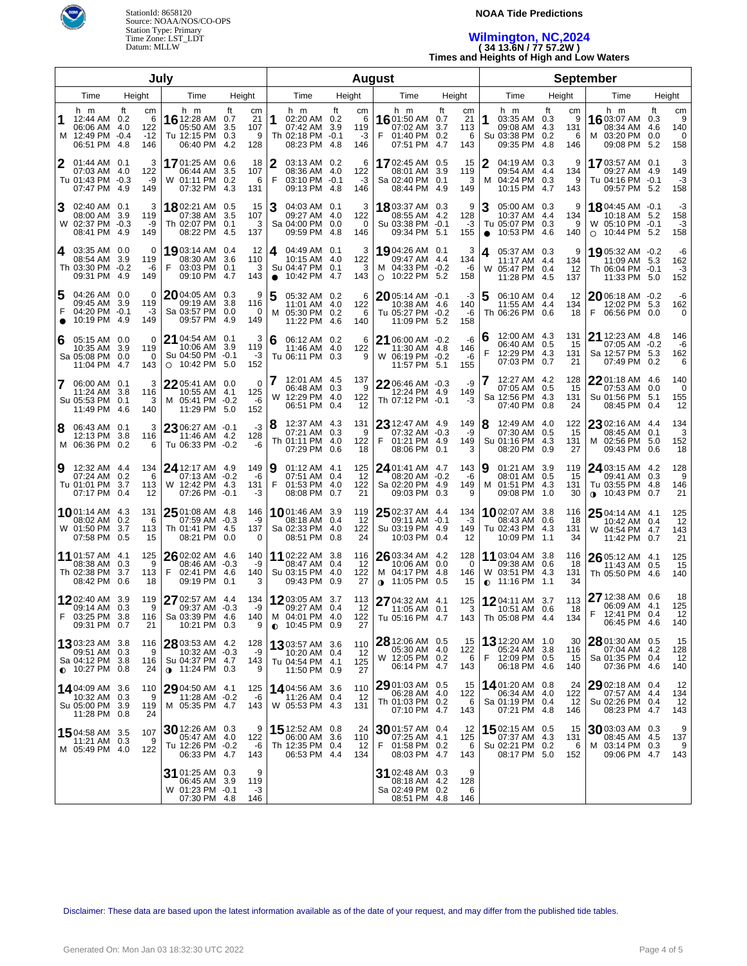

#### **NOAA Tide Predictions**

## **Wilmington, NC,2024 ( 34 13.6N / 77 57.2W )**

**Times and Heights of High and Low Waters**

| July                 |                                                                                      |                                      |                                                                                        |                                                               |                                                                                   |                  | August                                                                                      |                                                 | <b>September</b>                                                               |                                         |                                                                                |                                         |  |
|----------------------|--------------------------------------------------------------------------------------|--------------------------------------|----------------------------------------------------------------------------------------|---------------------------------------------------------------|-----------------------------------------------------------------------------------|------------------|---------------------------------------------------------------------------------------------|-------------------------------------------------|--------------------------------------------------------------------------------|-----------------------------------------|--------------------------------------------------------------------------------|-----------------------------------------|--|
|                      | Time                                                                                 | Height                               | Time                                                                                   | Height                                                        | Time                                                                              | Height           | Time                                                                                        | Height                                          | Time                                                                           | Height                                  | Time                                                                           | Height                                  |  |
| 1<br>м               | h m<br>12:44 AM 0.2<br>06:06 AM 4.0<br>12:49 PM -0.4<br>06:51 PM 4.8                 | ft<br>cm<br>6<br>122<br>$-12$<br>146 | h m<br>16 12:28 AM<br>05:50 AM<br>Tu 12:15 PM<br>06:40 PM                              | ft<br>cm<br>21<br>0.7<br>3.5<br>107<br>0.3<br>9<br>4.2<br>128 | h m<br>1<br>02:20 AM 0.2<br>07:42 AM 3.9<br>Th 02:18 PM -0.1<br>08:23 PM 4.8      | ft<br>119<br>146 | h m<br>cm<br>6<br><b>16</b> 01:50 AM 0.7<br>07:02 AM<br>-3<br>01:40 PM 0.2<br>F<br>07:51 PM | ft<br>cm<br>21<br>3.7<br>113<br>6<br>4.7<br>143 | h m<br>1<br>03:35 AM 0.3<br>09:08 AM 4.3<br>Su 03:38 PM 0.2<br>09:35 PM        | ft<br>сm<br>9<br>131<br>6<br>4.8<br>146 | h m<br>16 03:07 AM<br>08:34 AM 4.6<br>03:20 PM 0.0<br>M<br>09:08 PM 5.2        | ft<br>cm<br>9<br>0.3<br>140<br>0<br>158 |  |
| 2                    | 01:44 AM 0.1<br>07:03 AM 4.0<br>Tu 01:43 PM -0.3<br>07:47 PM 4.9                     | 3<br>122<br>-9<br>149                | <b>17</b> 01:25 AM<br>06:44 AM<br>W 01:11 PM<br>07:32 PM                               | 0.6<br>18<br>3.5<br>107<br>0.2<br>6<br>131<br>4.3             | 2<br>03:13 AM 0.2<br>08:36 AM 4.0<br>F<br>03:10 PM -0.1<br>09:13 PM 4.8           | 122<br>146       | 1702:45 AM 0.5<br>6<br>08:01 AM<br>$-3$<br>Sa 02:40 PM 0.1<br>08:44 PM                      | 15<br>3.9<br>119<br>3<br>4.9<br>149             | 2<br>04:19 AM 0.3<br>09:54 AM 4.4<br>04:24 PM 0.3<br>M<br>10:15 PM 4.7         | 9<br>134<br>9<br>143                    | 1703:57 AM 0.1<br>09:27 AM 4.9<br>Tu 04:16 PM -0.1<br>09:57 PM 5.2             | 3<br>149<br>-3<br>158                   |  |
| 3                    | 02:40 AM 0.1<br>08:00 AM 3.9<br>W 02:37 PM -0.3<br>08:41 PM 4.9                      | 3<br>119<br>-9<br>149                | 1802:21 AM 0.5<br>07:38 AM<br>Th 02:07 PM 0.1<br>08:22 PM                              | 15<br>3.5<br>107<br>3<br>4.5<br>137                           | 3<br>04:03 AM 0.1<br>09:27 AM 4.0<br>Sa 04:00 PM 0.0<br>09:59 PM 4.8              | 122<br>146       | <b>18</b> 03:37 AM 0.3<br>3<br>08:55 AM 4.2<br>$\Omega$<br>Su 03:38 PM -0.1<br>09:34 PM 5.1 | 9<br>128<br>-3<br>155                           | 3<br>05:00 AM 0.3<br>10:37 AM 4.4<br>Tu 05:07 PM 0.3<br>10:53 PM<br>$\bullet$  | 9<br>134<br>9<br>-4.6<br>140            | 18 04:45 AM -0.1<br>10:18 AM 5.2<br>W 05:10 PM -0.1<br>10:44 PM 5.2<br>$\circ$ | -3<br>158<br>-3<br>158                  |  |
| 14.                  | 03:35 AM 0.0<br>08:54 AM 3.9<br>Th 03:30 PM -0.2<br>09:31 PM 4.9                     | 0<br>119<br>-6<br>149                | 19 03:14 AM<br>08:30 AM<br>03:03 PM 0.1<br>F<br>09:10 PM                               | 12<br>0.4<br>3.6<br>110<br>3<br>4.7<br>143                    | 04:49 AM 0.1<br>4<br>10:15 AM 4.0<br>Su 04:47 PM 0.1<br>10:42 PM 4.7<br>$\bullet$ | 122<br>143       | 19 04:26 AM 0.1<br>3<br>09:47 AM 4.4<br>3<br>M 04:33 PM -0.2<br>O 10:22 PM 5.2              | 3<br>134<br>-6<br>158                           | 05:37 AM 0.3<br>4<br>11:17 AM 4.4<br>W<br>05:47 PM 0.4<br>11:28 PM 4.5         | 9<br>134<br>12<br>137                   | 19 05:32 AM -0.2<br>11:09 AM 5.3<br>Th 06:04 PM -0.1<br>11:33 PM 5.0           | -6<br>162<br>-3<br>152                  |  |
| 15<br>F<br>$\bullet$ | 04:26 AM 0.0<br>09:45 AM 3.9<br>04:20 PM -0.1<br>10:19 PM 4.9                        | 0<br>119<br>-3<br>149                | $20$ 04:05 AM<br>09:19 AM<br>Sa 03:57 PM<br>09:57 PM                                   | 9<br>0.3<br>3.8<br>116<br>0.0<br>0<br>4.9<br>149              | 05:32 AM 0.2<br>11:01 AM 4.0<br>M 05:30 PM 0.2<br>11:22 PM 4.6                    | 122<br>140       | $20$ 05:14 AM $-0.1$<br>6<br>10:38 AM 4.6<br>Tu 05:27 PM -0.2<br>6<br>11:09 PM 5.2          | -3<br>140<br>-6<br>158                          | 5<br>06:10 AM 0.4<br>11:55 AM 4.4<br>Th 06:26 PM 0.6                           | 12<br>134<br>18                         | 2006:18 AM -0.2<br>12:02 PM 5.3<br>F<br>06:56 PM 0.0                           | -6<br>162<br>0                          |  |
| 6                    | 05:15 AM 0.0<br>10:35 AM 3.9<br>Sa 05:08 PM 0.0<br>11:04 PM 4.7                      | 0<br>119<br>0<br>143                 | $21$ 04:54 AM $\,$ 0.1 $\,$<br>10:06 AM<br>Su 04:50 PM -0.1<br>10:42 PM 5.0<br>$\circ$ | 3<br>3.9<br>119<br>-3<br>152                                  | 6<br>06:12 AM 0.2<br>11:46 AM 4.0<br>Tu 06:11 PM 0.3                              | 122              | 21 06:00 AM -0.2<br>6<br>11:30 AM 4.8<br>W 06:19 PM -0.2<br>9<br>11:57 PM 5.1               | -6<br>146<br>-6<br>155                          | 12:00 AM 4.3<br>6<br>06:40 AM 0.5<br>F<br>12:29 PM 4.3<br>07:03 PM 0.7         | 131<br>15<br>131<br>21                  | <b>21</b> 12:23 AM 4.8<br>07:05 AM -0.2<br>Sa 12:57 PM 5.3<br>07:49 PM 0.2     | 146<br>-6<br>162<br>6                   |  |
| $\overline{7}$       | 06:00 AM 0.1<br>11:24 AM 3.8<br>Su 05:53 PM 0.1<br>11:49 PM 4.6                      | 3<br>116<br>3<br>140                 | 22 05:41 AM 0.0<br>10:55 AM 4.1<br>M 05:41 PM -0.2<br>11:29 PM 5.0                     | 0<br>125<br>-6<br>152                                         | 12:01 AM 4.5<br>06:48 AM 0.3<br>W 12:29 PM 4.0<br>06:51 PM 0.4                    | 137<br>122       | 22 06:46 AM -0.3<br>9<br>12:24 PM 4.9<br>Th 07:12 PM -0.1<br>12                             | -9<br>149<br>-3                                 | 12:27 AM 4.2<br>07:05 AM 0.5<br>Sa 12:56 PM 4.3<br>07:40 PM 0.8                | 128<br>15<br>131<br>24                  | 2201:18 AM 4.6<br>07:53 AM 0.0<br>Su 01:56 PM 5.1<br>08:45 PM 0.4              | 140<br>$\mathbf 0$<br>155<br>12         |  |
| 8                    | 06:43 AM 0.1<br>12:13 PM<br>M 06:36 PM 0.2                                           | 3<br>-3.8<br>116<br>6                | 23 06:27 AM -0.1<br>11:46 AM 4.2<br>Tu 06:33 PM -0.2                                   | -3<br>128<br>-6                                               | 8<br>12:37 AM 4.3<br>07:21 AM 0.3<br>Th 01:11 PM 4.0<br>07:29 PM 0.6              | 131<br>122       | 23 12:47 AM 4.9<br>07:32 AM -0.3<br>9<br>F<br>01:21 PM 4.9<br>08:06 PM<br>18                | 149<br>-9<br>149<br>0.1<br>3                    | 8<br>12:49 AM 4.0<br>07:30 AM 0.5<br>Su 01:16 PM 4.3<br>08:20 PM 0.9           | 122<br>15<br>131<br>27                  | $2302:16$ AM $4.4$<br>08:45 AM 0.1<br>M 02:56 PM 5.0<br>09:43 PM 0.6           | 134<br>3<br>152<br>18                   |  |
| Ι9                   | 12:32 AM 4.4<br>07:24 AM 0.2<br>Tu 01:01 PM 3.7<br>07:17 PM 0.4                      | 134<br>6<br>113<br>12                | 24 12:17 AM 4.9<br>07:13 AM -0.2<br>W 12:42 PM 4.3<br>07:26 PM -0.1                    | 149<br>-6<br>131<br>-3                                        | 9<br>01:12 AM 4.1<br>07:51 AM 0.4<br>F<br>01:53 PM 4.0<br>08:08 PM 0.7            | 125<br>122       | 24 01:41 AM 4.7<br>12<br>08:20 AM -0.2<br>Sa 02:20 PM 4.9<br>09:03 PM 0.3<br>21             | 143<br>-6<br>149<br>9                           | 01:21 AM 3.9<br>9<br>08:01 AM 0.5<br>м<br>01:51 PM 4.3<br>09:08 PM 1.0         | 119<br>15<br>131<br>30                  | 24 03:15 AM 4.2<br>09:41 AM 0.3<br>Tu 03:55 PM 4.8<br><b>0</b> 10:43 PM 0.7    | 128<br>9<br>146<br>21                   |  |
|                      | <b>10</b> 01:14 AM 4.3<br>08:02 AM 0.2<br>W 01:50 PM 3.7<br>07:58 PM 0.5             | 131<br>6<br>113<br>15                | $2501:08$ AM 4.8<br>07:59 AM<br>Th 01:41 PM<br>08:21 PM                                | 146<br>$-0.3$<br>-9<br>137<br>-4.5<br>0.0<br>0                | 1001:46 AM 3.9<br>08:18 AM 0.4<br>Sa 02:33 PM 4.0<br>08:51 PM 0.8                 | 119<br>122       | $2502:37$ AM 4.4<br>09:11 AM -0.1<br>-12<br>Su 03:19 PM 4.9<br>10:03 PM 0.4<br>24           | 134<br>$-3$<br>149<br>12                        | 1002:07 AM 3.8<br>08:43 AM 0.6<br>Tu 02:43 PM 4.3<br>10:09 PM 1.1              | 116<br>18<br>131<br>34                  | $2504:14$ AM 4.1<br>10:42 AM 0.4<br>W 04:54 PM 4.7<br>11:42 PM 0.7             | 125<br>12<br>143<br>21                  |  |
|                      | 11 01:57 AM 4.1<br>08:38 AM 0.3<br>Th 02:38 PM 3.7<br>08:42 PM 0.6                   | 125<br>9<br>113<br>18                | 26 02:02 AM 4.6<br>08:46 AM<br>F.<br>02:41 PM<br>09:19 PM                              | 140<br>$-0.3$<br>-9<br>-4.6<br>140<br>0.1<br>3                | 11 02:22 AM 3.8<br>08:47 AM 0.4<br>Su 03:15 PM 4.0<br>09:43 PM 0.9                | 116<br>122       | 2603:34 AM 4.2<br>10:06 AM 0.0<br>-12<br>M 04:17 PM 4.8<br>$0.11:05$ PM 0.5<br>27           | 128<br>$\Omega$<br>146<br>15                    | 11 03:04 AM 3.8<br>09:38 AM 0.6<br>W 03:51 PM 4.3<br>11:16 PM 1.1<br>$\bullet$ | 116<br>-18<br>131<br>34                 | 26 05:12 AM 4.1<br>11:43 AM 0.5<br>Th 05:50 PM 4.6                             | 125<br>15<br>140                        |  |
|                      | 1202:40 AM 3.9<br>09:14 AM 0.3<br>F 03:25 PM 3.8<br>09:31 PM 0.7                     | 119<br>9<br>116 I<br>21              | <b>27</b> 02:57 AM 4.4<br>09:37 AM -0.3<br>Sa 03:39 PM 4.6<br>10:21 PM 0.3             | 134<br>-9<br>140<br>9                                         | 12 03:05 AM 3.7<br>09:27 AM 0.4<br>M 04:01 PM 4.0<br>$0.10:45$ PM 0.9             | 113              | 27 04:32 AM 4.1<br>12<br>11:05 AM 0.1<br>122<br>Tu 05:16 PM 4.7<br>27                       | 125<br>3<br>143                                 | 1204:11 AM 3.7<br>10:51 AM 0.6<br>Th 05:08 PM 4.4                              | 113<br>18<br>134                        | 27 12:38 AM 0.6<br>06:09 AM 4.1<br>F 12:41 PM 0.4<br>06:45 PM 4.6              | 18<br>125<br>12<br>140                  |  |
|                      | <b>13</b> 03:23 AM 3.8<br>09:51 AM 0.3<br>Sa 04:12 PM 3.8<br>$\bigcirc$ 10:27 PM 0.8 | 116<br>9<br>116<br>24                | 28 03:53 AM 4.2<br>10:32 AM -0.3<br>Su 04:37 PM 4.7<br>$\bullet$ 11:24 PM 0.3          | 128<br>-9<br>143<br>9                                         | 13 03:57 AM 3.6<br>10:20 AM 0.4<br>Tu 04:54 PM 4.1<br>11:50 PM 0.9                | 110<br>125       | 28 12:06 AM 0.5<br>05:30 AM 4.0<br>-12<br>W 12:05 PM 0.2<br>06:14 PM 4.7<br>27              | -15<br>122<br>-6<br>143                         | <b>13</b> 12:20 AM 1.0<br>05:24 AM 3.8<br>F<br>12:09 PM 0.5<br>06:18 PM 4.6    | 30<br>116<br>15<br>140                  | 28 01:30 AM 0.5<br>07:04 AM 4.2<br>Sa 01:35 PM 0.4<br>07:36 PM 4.6             | 15<br>128<br>12<br>140                  |  |
|                      | 14,04:09 AM 3.6<br>10:32 AM 0.3<br>Su 05:00 PM 3.9<br>11:28 PM 0.8                   | 110<br>9<br>119<br>24                | 29 04:50 AM 4.1<br>11:28 AM -0.2<br>M 05:35 PM 4.7                                     | 125<br>-6<br>143                                              | 14 04:56 AM 3.6<br>11:26 AM 0.4<br>W 05:53 PM 4.3                                 | 110<br>131       | 29 01:03 AM 0.5<br>06:28 AM 4.0<br>12<br>Th 01:03 PM 0.2<br>07:10 PM 4.7                    | 15<br>122<br>6<br>143                           | 1401:20 AM 0.8<br>06:34 AM 4.0<br>Sa 01:19 PM 0.4<br>07:21 PM 4.8              | 24<br>122<br>12<br>146                  | $29$ 02:18 AM 0.4<br>07:57 AM 4.4<br>Su 02:26 PM 0.4<br>08:23 PM 4.7           | 12<br>134<br>12<br>143                  |  |
|                      | 1504:58 AM 3.5<br>$11:21$ AM $0.3$<br>M 05:49 PM 4.0                                 | 107<br>9<br>122                      | 30 12:26 AM 0.3<br>05:47 AM 4.0<br>Tu 12:26 PM -0.2<br>06:33 PM 4.7                    | 9<br>122<br>-6<br>143                                         | 15 12:52 AM 0.8<br>06:00 AM 3.6<br>Th 12:35 PM 0.4<br>06:53 PM 4.4                | 110<br>134       | $30$ 01:57 AM 0.4<br>24<br>07:25 AM 4.1<br>01:58 PM 0.2<br>12<br>F.<br>08:03 PM 4.7         | -12<br>125<br>6<br>143                          | <b>15</b> 02:15 AM 0.5<br>07:37 AM 4.3<br>Su 02:21 PM 0.2<br>08:17 PM 5.0      | 15<br>131<br>6<br>152                   | $3003:03$ AM 0.3<br>08:45 AM 4.5<br>M 03:14 PM 0.3<br>09:06 PM 4.7             | 9<br>137<br>9<br>143                    |  |
|                      |                                                                                      |                                      | 31 01:25 AM 0.3<br>06:45 AM<br>W 01:23 PM -0.1<br>07:30 PM 4.8                         | 9<br>119<br>3.9<br>$-3$<br>146                                |                                                                                   |                  | 31 02:48 AM 0.3<br>08:18 AM 4.2<br>Sa 02:49 PM 0.2<br>08:51 PM 4.8                          | 9<br>128<br>6<br>146                            |                                                                                |                                         |                                                                                |                                         |  |